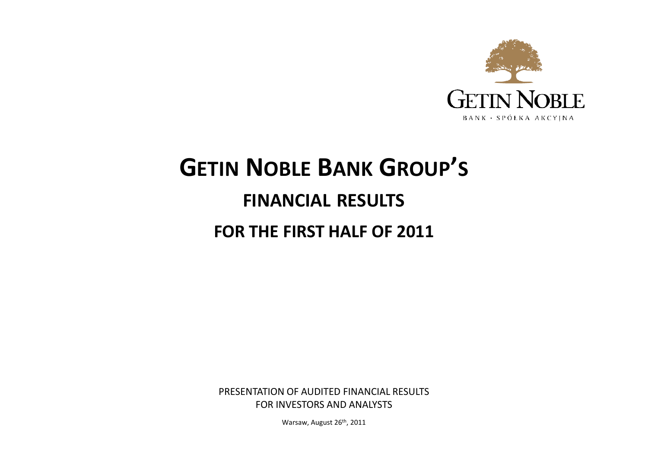

# **GETIN <sup>N</sup>OBLE <sup>B</sup>ANK <sup>G</sup>ROUP'<sup>S</sup>**

# **FINANCIAL RESULTS**

# **FOR THE FIRST HALF OF 2011**

PRESENTATION OF AUDITED FINANCIAL RESULTSFOR INVESTORS AND ANALYSTS

Warsaw, August 26<sup>th</sup>, 2011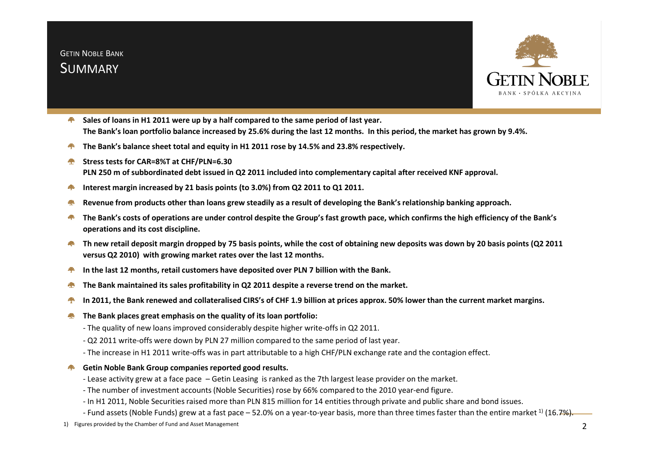

- **Sales of loans in H1 2011 were up by a half compared to the same period of last year.All Control The Bank's loan portfolio balance increased by 25.6% during the last 12 months. In this period, the market has grown by 9.4%.**
- **The Bank's balance sheet total and equity in H1 2011 rose by 14.5% and 23.8% respectively.**
- **Stress tests for CAR=8%T at CHF/PLN=6.30PLN 250 m of subbordinated debt issued in Q2 2011 included into complementary capital after received KNF approval.**
- **Interest margin increased by 21 basis points (to 3.0%) from Q2 2011 to Q1 2011.**
- **Revenue from products other than loans grew steadily as a result of developing the Bank's relationship banking approach.**
- **The Bank's costs of operations are under control despite the Group's fast growth pace, which confirms the high efficiency of the Bank's operations and its cost discipline.**
- **Th new retail deposit margin dropped by 75 basis points, while the cost of obtaining new deposits was down by 20 basis points (Q2 2011 Complete versus Q2 2010) with growing market rates over the last 12 months.**
- **In the last 12 months, retail customers have deposited over PLN 7 billion with the Bank.**
- **The Bank maintained its sales profitability in Q2 2011 despite a reverse trend on the market.**
- **In 2011, the Bank renewed and collateralised CIRS's of CHF 1.9 billion at prices approx. 50% lower than the current market margins.**
- **The Bank places great emphasis on the quality of its loan portfolio:Algebra** 
	- The quality of new loans improved considerably despite higher write-offs in Q2 2011.
	- Q2 2011 write-offs were down by PLN 27 million compared to the same period of last year.
	- The increase in H1 2011 write-offs was in part attributable to a high CHF/PLN exchange rate and the contagion effect.
- **F** Getin Noble Bank Group companies reported good results.
	- Lease activity grew at a face pace Getin Leasing is ranked as the 7th largest lease provider on the market.
	- The number of investment accounts (Noble Securities) rose by 66% compared to the 2010 year-end figure.
	- In H1 2011, Noble Securities raised more than PLN 815 million for 14 entities through private and public share and bond issues.
	- Fund assets (Noble Funds) grew at a fast pace 52.0% on a year-to-year basis, more than three times faster than the entire market  $^{\text{1)}}$  (16.7%).
- 1) Figures provided by the Chamber of Fund and Asset Management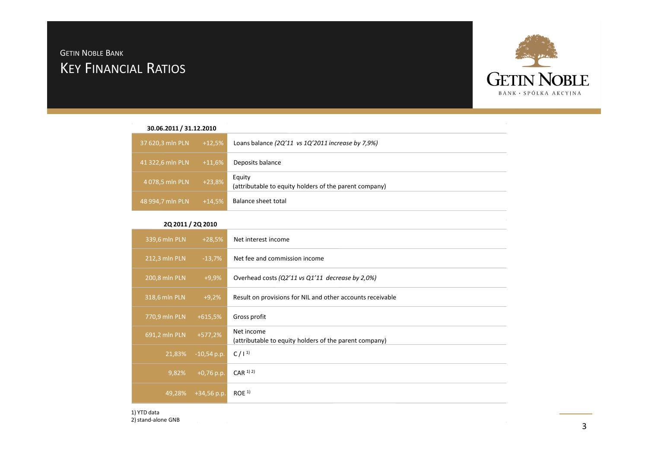# KEY <sup>F</sup>INANCIAL <sup>R</sup>ATIOS GETIN <sup>N</sup>OBLE <sup>B</sup>ANK



### **30.06.2011 / 31.12.2010**

| 37 620,3 mln PLN | $+12,5%$ | Loans balance $(2Q'11 \text{ vs } 1Q'2011 \text{ increase by } 7.9\%)$ |
|------------------|----------|------------------------------------------------------------------------|
| 41 322,6 mln PLN | $+11,6%$ | Deposits balance                                                       |
| 4 078,5 mln PLN  | $+23,8%$ | Equity<br>(attributable to equity holders of the parent company)       |
| 48 994,7 mln PLN | $+14,5%$ | Balance sheet total                                                    |

### **2Q 2011 / 2Q 2010**

| 339,6 mln PLN | $+28,5%$      | Net interest income                                                  |
|---------------|---------------|----------------------------------------------------------------------|
| 212,3 mln PLN | $-13,7%$      | Net fee and commission income                                        |
| 200,8 mln PLN | $+9,9%$       | Overhead costs (Q2'11 vs Q1'11 decrease by 2,0%)                     |
| 318,6 mln PLN | $+9,2%$       | Result on provisions for NIL and other accounts receivable           |
| 770,9 mln PLN | $+615,5%$     | Gross profit                                                         |
| 691,2 mln PLN | $+577,2%$     | Net income<br>(attributable to equity holders of the parent company) |
| 21,83%        | $-10,54$ p.p. | $C / 1^{1}$                                                          |
| 9,82%         | $+0,76$ p.p.  | $CAR$ <sup>1) 2)</sup>                                               |
| 49,28%        | $+34,56$ p.p. | ROE <sup>1</sup>                                                     |

1) YTD data2) stand-alone GNB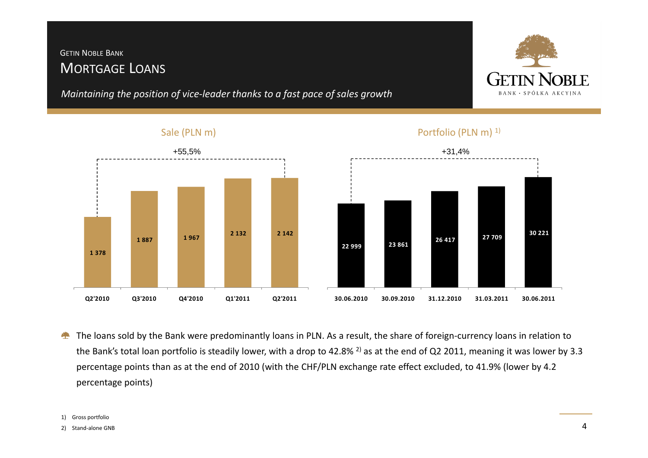# MORTGAGE <sup>L</sup>OANS GETIN <sup>N</sup>OBLE <sup>B</sup>ANK

*Maintaining the position of vice-leader thanks to a fast pace of sales growth*



**30 221** 

# +55,5% +31,4% **1 378 1 887 1 967 2 132 2 142 Q2'2010 Q3'2010 Q4'2010 Q1'2011 Q2'201122 999 23 861 26 417 27 709 30.06.2010 30.09.2010 31.12.2010 31.03.2011 30.06.2011**

Sale (PLN m)



The loans sold by the Bank were predominantly loans in PLN. As a result, the share of foreign-currency loans in relation to 全 the Bank's total loan portfolio is steadily lower, with a drop to 42.8% <sup>2)</sup> as at the end of Q2 2011, meaning it was lower by 3.3 percentage points than as at the end of 2010 (with the CHF/PLN exchange rate effect excluded, to 41.9% (lower by 4.2percentage points)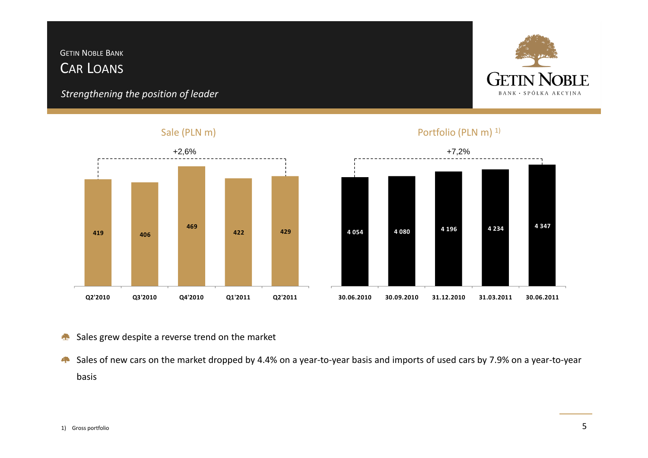# CAR <sup>L</sup>OANS GETIN <sup>N</sup>OBLE <sup>B</sup>ANK

*Strengthening the position of leader*



### Sale (PLN m)



# **422 429 4 054 4 080 4 196 4 234 4 347 30.06.2010 30.09.2010 31.12.2010 31.03.2011 30.06.2011**

### Sales grew despite a reverse trend on the market

Sales of new cars on the market dropped by 4.4% on a year-to-year basis and imports of used cars by 7.9% on a year-to-year basis

# Portfolio (PLN m)<sup>1)</sup>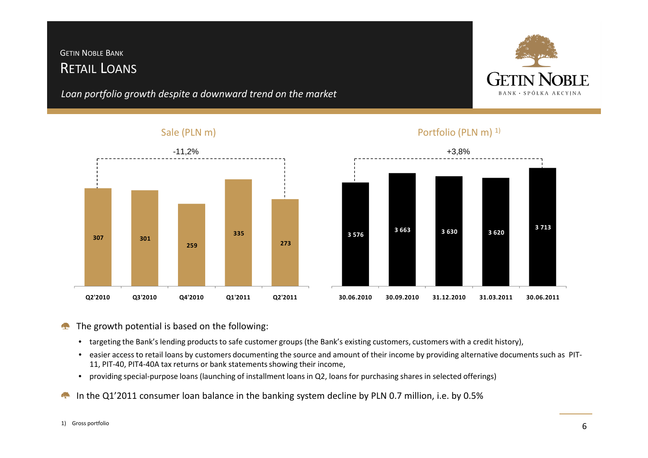# RETAIL <sup>L</sup>OANSGETIN <sup>N</sup>OBLE <sup>B</sup>ANK

*Loan portfolio growth despite a downward trend on the market*



### Sale (PLN m)





Portfolio (PLN m)<sup>1)</sup>

### The growth potential is based on the following:**College**

- targeting the Bank's lending products to safe customer groups (the Bank's existing customers, customers with a credit history),
- easier access to retail loans by customers documenting the source and amount of their income by providing alternative documents such as PIT-11, PIT-40, PIT4-40A tax returns or bank statements showing their income,
- providing special-purpose loans (launching of installment loans in Q2, loans for purchasing shares in selected offerings)
- $\mathbb{Z}$ In the Q1'2011 consumer loan balance in the banking system decline by PLN 0.7 million, i.e. by 0.5%

### 1) Gross portfolio

### 6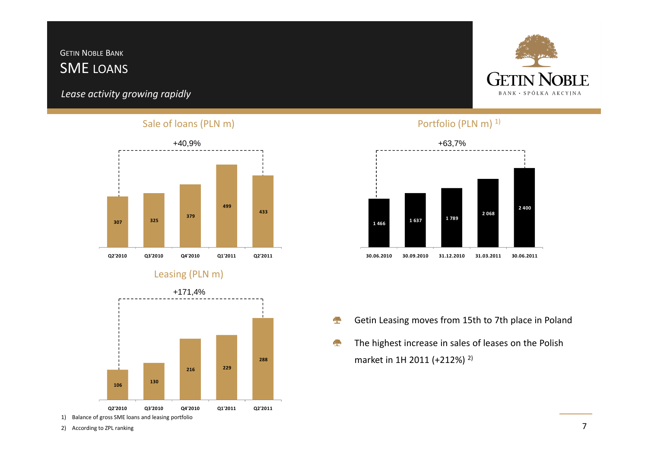# SME LOANSGETIN <sup>N</sup>OBLE <sup>B</sup>ANK

*Lease activity growing rapidly*

### Sale of loans (PLN m)



### Leasing (PLN m)



<sup>2)</sup> According to ZPL ranking



### Portfolio (PLN m)<sup>1)</sup>



- Getin Leasing moves from 15th to 7th place in Poland壘
- **SP** The highest increase in sales of leases on the Polish market in 1H 2011 (+212%) 2)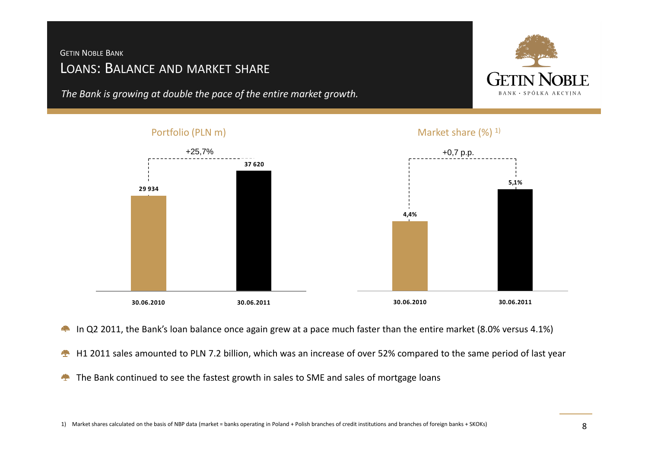# <sup>L</sup>OANS: BALANCE AND MARKET SHARE GETIN <sup>N</sup>OBLE <sup>B</sup>ANK

*The Bank is growing at double the pace of the entire market growth.*



# Portfolio (PLN m)Market share  $(\%)$ <sup>1)</sup> +25,7% +0,7 p.p. **29 934 37 620 4,4%5,1%30.06.2010 30.06.201130.06.2010 30.06.2011**

- In Q2 2011, the Bank's loan balance once again grew at a pace much faster than the entire market (8.0% versus 4.1%)**Congress**
- H1 2011 sales amounted to PLN 7.2 billion, which was an increase of over 52% compared to the same period of last year全
- The Bank continued to see the fastest growth in sales to SME and sales of mortgage loans $\mathcal{L}_{\mathcal{L}}$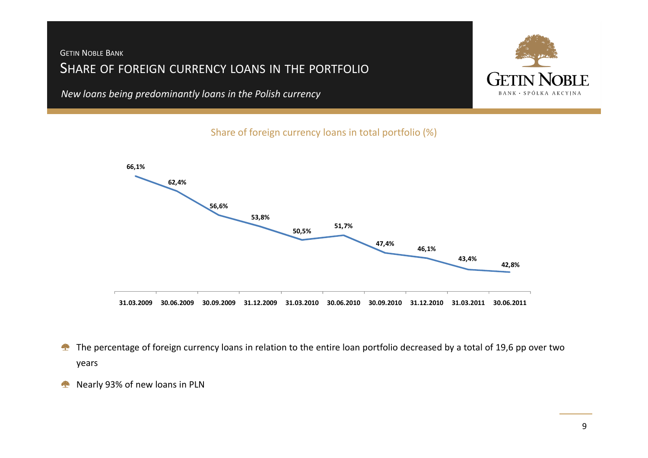## <sup>S</sup>HARE OF FOREIGN CURRENCY LOANS IN THE PORTFOLIOGETIN <sup>N</sup>OBLE <sup>B</sup>ANK

*New loans being predominantly loans in the Polish currency*



Share of foreign currency loans in total portfolio (%)



- The percentage of foreign currency loans in relation to the entire loan portfolio decreased by a total of 19,6 pp over two  $\clubsuit$ years
- Nearly 93% of new loans in PLN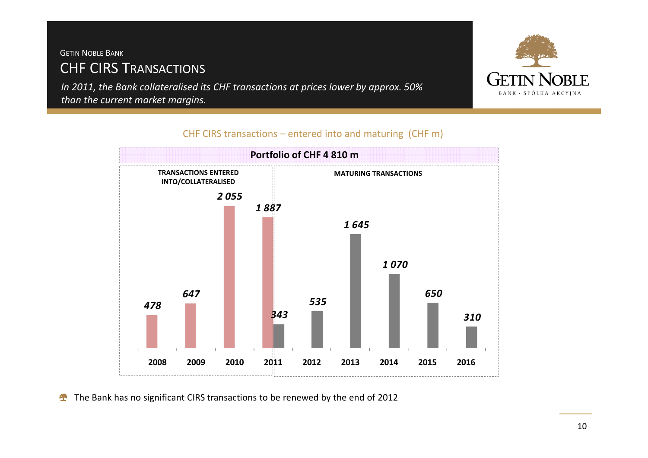# CHF CIRS TRANSACTIONSGETIN <sup>N</sup>OBLE <sup>B</sup>ANK

*In 2011, the Bank collateralised its CHF transactions at prices lower by approx. 50% than the current market margins.*



### CHF CIRS transactions – entered into and maturing (CHF m)



The Bank has no significant CIRS transactions to be renewed by the end of 2012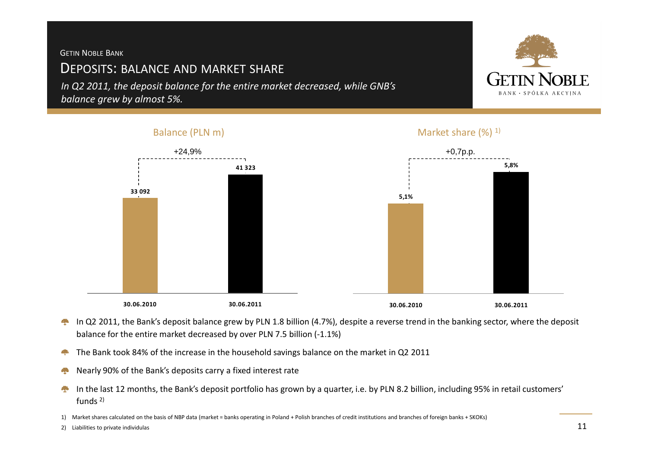### GETIN <sup>N</sup>OBLE <sup>B</sup>ANK

# <sup>D</sup>EPOSITS: BALANCE AND MARKET SHARE

Balance (PLN m)

*In Q2 2011, the deposit balance for the entire market decreased, while GNB's balance grew by almost 5%.*



- In Q2 2011, the Bank's deposit balance grew by PLN 1.8 billion (4.7%), despite a reverse trend in the banking sector, where the deposit 樂 balance for the entire market decreased by over PLN 7.5 billion (-1.1%)
- The Bank took 84% of the increase in the household savings balance on the market in Q2 201142
- Nearly 90% of the Bank's deposits carry a fixed interest rate壘
- In the last 12 months, the Bank's deposit portfolio has grown by a quarter, i.e. by PLN 8.2 billion, including 95% in retail customers' ÷ funds 2)

1) Market shares calculated on the basis of NBP data (market = banks operating in Poland + Polish branches of credit institutions and branches of foreign banks + SKOKs)

2) Liabilities to private individulas

### Market share  $(\%)$ <sup>1)</sup>

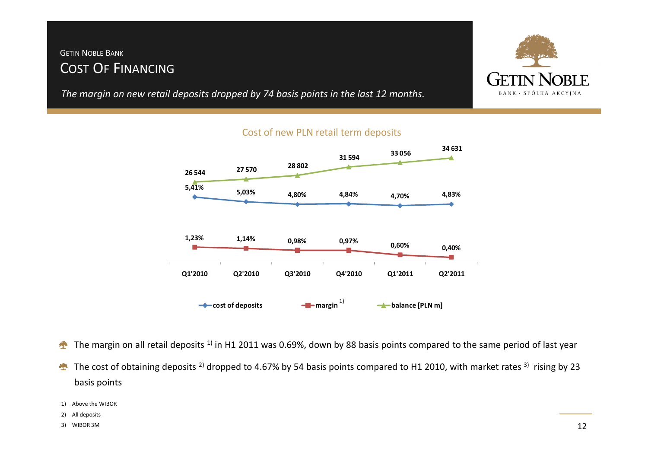# COST <sup>O</sup><sup>F</sup> <sup>F</sup>INANCINGGETIN <sup>N</sup>OBLE <sup>B</sup>ANK

*The margin on new retail deposits dropped by 74 basis points in the last 12 months.*



### Cost of new PLN retail term deposits



- The margin on all retail deposits <sup>1)</sup> in H1 2011 was 0.69%, down by 88 basis points compared to the same period of last year
- The cost of obtaining deposits <sup>2)</sup> dropped to 4.67% by 54 basis points compared to H1 2010, with market rates <sup>3)</sup> rising by 23 **Allen** basis points

```
1) Above the WIBOR
```
- 2) All deposits
- 3) WIBOR 3M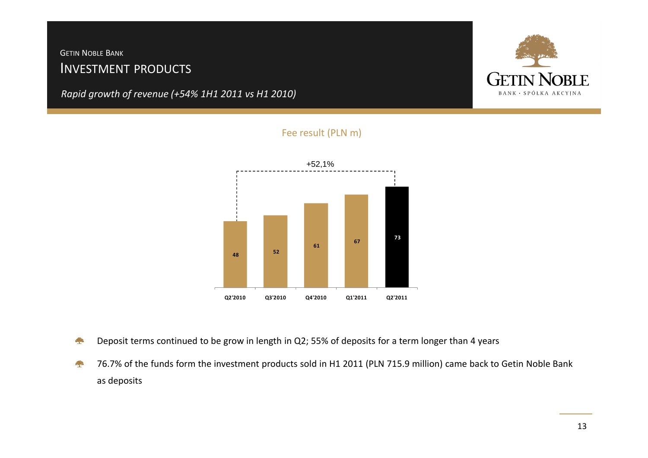# <sup>I</sup>NVESTMENT PRODUCTS GETIN <sup>N</sup>OBLE <sup>B</sup>ANK

*Rapid growth of revenue (+54% 1H1 2011 vs H1 2010)*





### Fee result (PLN m)

- Deposit terms continued to be grow in length in Q2; 55% of deposits for a term longer than 4 years**Congress**
- 76.7% of the funds form the investment products sold in H1 2011 (PLN 715.9 million) came back to Getin Noble Bank as deposits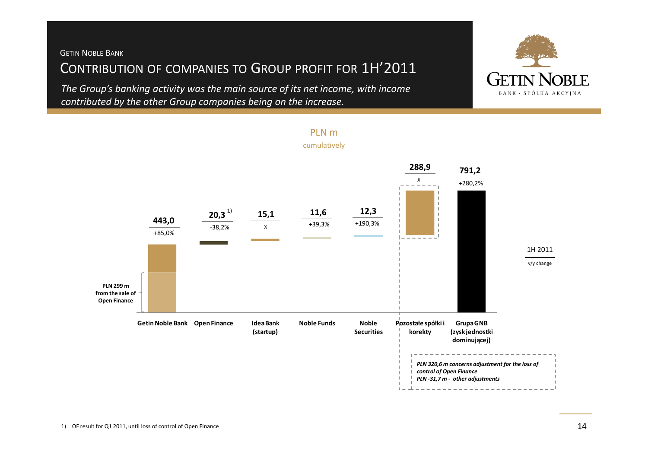# <sup>C</sup>ONTRIBUTION OF COMPANIES TO <sup>G</sup>ROUP PROFIT FOR 1H'2011 GETIN <sup>N</sup>OBLE <sup>B</sup>ANK

*The Group's banking activity was the main source of its net income, with income contributed by the other Group companies being on the increase.*



PLN m

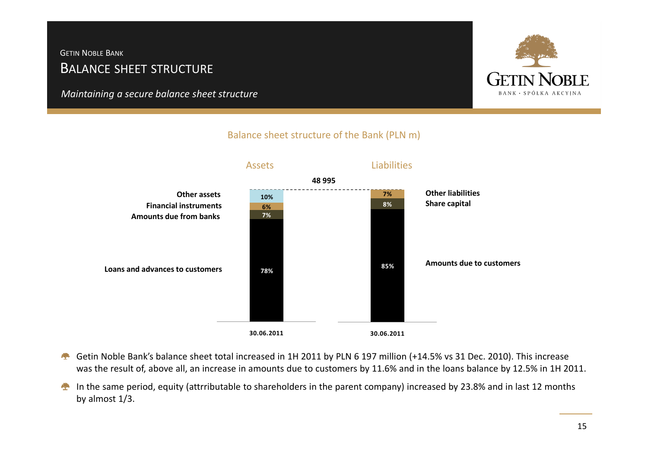# <sup>B</sup>ALANCE SHEET STRUCTURE GETIN <sup>N</sup>OBLE <sup>B</sup>ANK

*Maintaining a secure balance sheet structure*



### Balance sheet structure of the Bank (PLN m)



- Getin Noble Bank's balance sheet total increased in 1H 2011 by PLN 6 197 million (+14.5% vs 31 Dec. 2010). This increase was the result of, above all, an increase in amounts due to customers by 11.6% and in the loans balance by 12.5% in 1H 2011.
- In the same period, equity (attrributable to shareholders in the parent company) increased by 23.8% and in last 12 months by almost 1/3.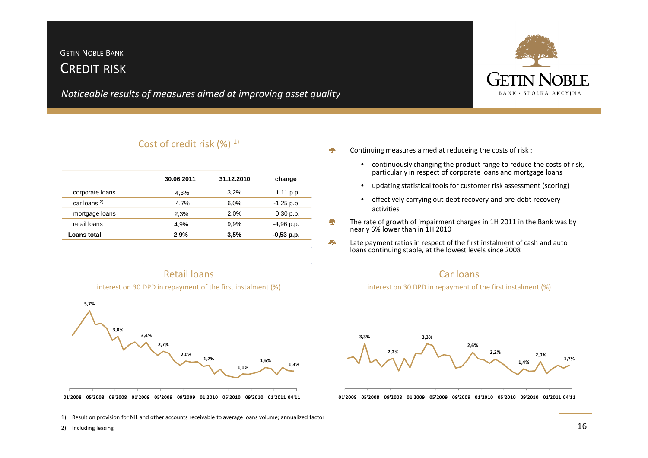## <sup>C</sup>REDIT RISKGETIN <sup>N</sup>OBLE <sup>B</sup>ANK

*Noticeable results of measures aimed at improving asset quality*

|                 | 30.06.2011 | 31.12.2010 | change       |
|-----------------|------------|------------|--------------|
| corporate loans | 4,3%       | 3.2%       | $1,11$ p.p.  |
| car loans $2$   | 4.7%       | 6.0%       | $-1,25$ p.p. |
| mortgage loans  | 2,3%       | 2.0%       | $0,30$ p.p.  |
| retail loans    | 4.9%       | 9.9%       | $-4,96$ p.p. |
| Loans total     | 2.9%       | 3,5%       | $-0,53$ p.p. |



01'2008 05'2008 09'2008 01'2009 05'2009 09'2009 01'2010 05'2010 09'2010 01'2011 04'11

1) Result on provision for NIL and other accounts receivable to average loans volume; annualized factor

2) Including leasing



 $\bullet$ 

- continuously changing the product range to reduce the costs of risk, particularly in respect of corporate loans and mortgage loans
- •updating statistical tools for customer risk assessment (scoring)
- effectively carrying out debt recovery and pre-debt recovery activities
- The rate of growth of impairment charges in 1H 2011 in the Bank was by nearly 6% lower than in 1H 2010
- ÷ Late payment ratios in respect of the first instalment of cash and auto loans continuing stable, at the lowest levels since 2008



interest on 30 DPD in repayment of the first instalment (%)



01'2008 05'2008 09'2008 01'2009 05'2009 09'2009 01'2010 05'2010 09'2010 01'2011 04'11

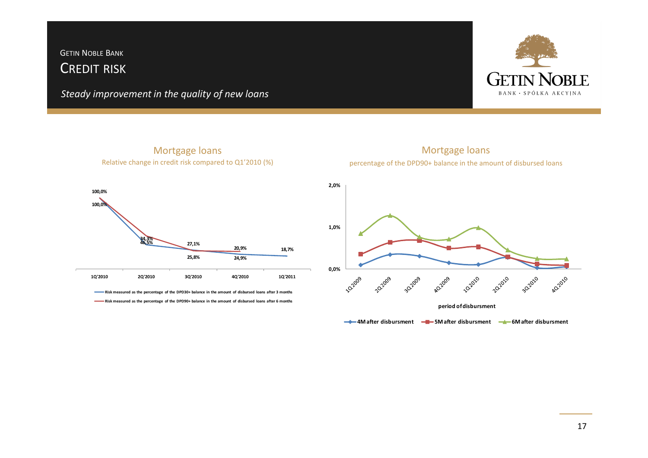### <sup>C</sup>REDIT RISKGETIN <sup>N</sup>OBLE <sup>B</sup>ANK

*Steady improvement in the quality of new loans*



Mortgage loansRelative change in credit risk compared to Q1'2010 (%)



Mortgage loanspercentage of the DPD90+ balance in the amount of disbursed loans



**4M after disbursment 5M after disbursment 6M after disbursment**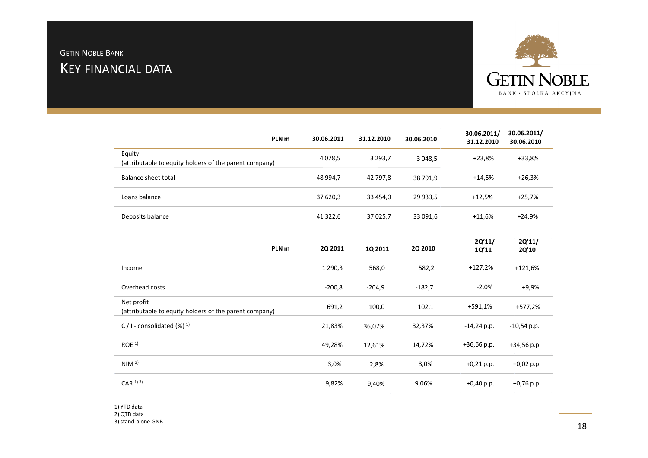# <sup>K</sup>EY FINANCIAL DATAGETIN <sup>N</sup>OBLE <sup>B</sup>ANK



|                                                                  | PLN <sub>m</sub> | 30.06.2011 | 31.12.2010  | 30.06.2010  | 30.06.2011/<br>31.12.2010 | 30.06.2011/<br>30.06.2010 |
|------------------------------------------------------------------|------------------|------------|-------------|-------------|---------------------------|---------------------------|
| Equity<br>(attributable to equity holders of the parent company) |                  | 4078,5     | 3 2 9 3 , 7 | 3 0 4 8 .5  | +23,8%                    | +33,8%                    |
| Balance sheet total                                              |                  | 48 994,7   | 42 797.8    | 38 791,9    | $+14.5%$                  | $+26,3%$                  |
| Loans balance                                                    |                  | 37 620.3   | 33 454.0    | 29 9 3 3, 5 | $+12,5%$                  | +25,7%                    |
| Deposits balance                                                 |                  | 41 322.6   | 37 0 25,7   | 33 091,6    | +11,6%                    | +24,9%                    |

| 2Q'11/<br>2Q'11/<br>2Q 2010<br>1Q'11<br>2Q'10 | 1Q 2011  | 2Q 2011    | PLN <sub>m</sub>                                                     |
|-----------------------------------------------|----------|------------|----------------------------------------------------------------------|
| 582,2<br>$+127,2%$<br>$+121,6%$               | 568,0    | 1 2 9 0, 3 | Income                                                               |
| $-2,0%$<br>$+9,9%$<br>$-182,7$                | $-204,9$ | $-200,8$   | Overhead costs                                                       |
| +591,1%<br>+577,2%<br>102,1                   | 100,0    | 691,2      | Net profit<br>(attributable to equity holders of the parent company) |
| $-14,24$ p.p.<br>32,37%<br>$-10,54$ p.p.      | 36,07%   | 21,83%     | C / I - consolidated $(\%)$ <sup>1)</sup>                            |
| $+36,66$ p.p.<br>14,72%<br>$+34,56$ p.p.      | 12,61%   | 49,28%     | ROE <sup>1</sup>                                                     |
| $+0,21$ p.p.<br>3,0%<br>$+0,02$ p.p.          | 2,8%     | 3,0%       | NIM <sup>2</sup>                                                     |
| 9,06%<br>$+0,40$ p.p.<br>$+0,76$ p.p.         | 9,40%    | 9,82%      | $CAR$ <sup>1)</sup> <sup>3)</sup>                                    |
|                                               |          |            |                                                                      |